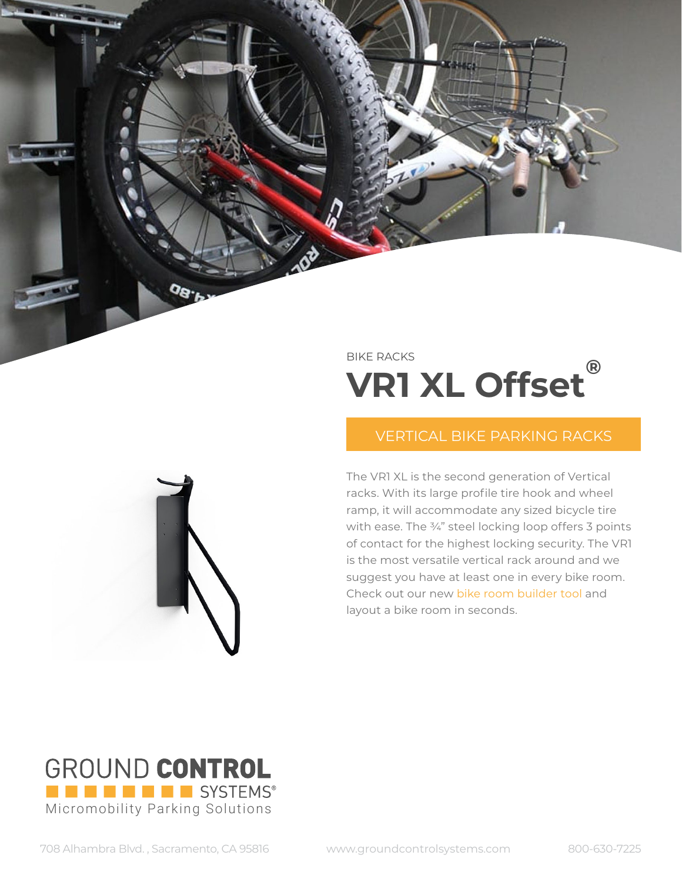## BIKE RACKS **VR1 XL Offset®**

## VERTICAL BIKE PARKING RACKS

The VR1 XL is the second generation of Vertical racks. With its large profile tire hook and wheel ramp, it will accommodate any sized bicycle tire with ease. The 3/4" steel locking loop offers 3 points of contact for the highest locking security. The VR1 is the most versatile vertical rack around and we suggest you have at least one in every bike room. Check out our new [bike room builder tool](https://app.groundcontrolsystems.com) and layout a bike room in seconds.